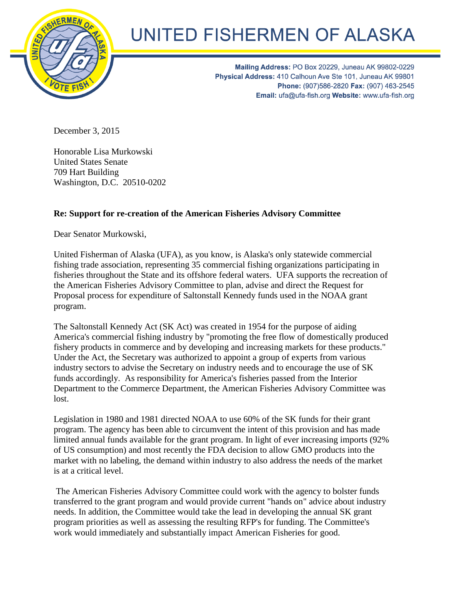

## UNITED FISHERMEN OF ALASKA

Mailing Address: PO Box 20229, Juneau AK 99802-0229 Physical Address: 410 Calhoun Ave Ste 101, Juneau AK 99801 Phone: (907)586-2820 Fax: (907) 463-2545 Email: ufa@ufa-fish.org Website: www.ufa-fish.org

December 3, 2015

Honorable Lisa Murkowski United States Senate 709 Hart Building Washington, D.C. 20510-0202

## **Re: Support for re-creation of the American Fisheries Advisory Committee**

Dear Senator Murkowski,

United Fisherman of Alaska (UFA), as you know, is Alaska's only statewide commercial fishing trade association, representing 35 commercial fishing organizations participating in fisheries throughout the State and its offshore federal waters. UFA supports the recreation of the American Fisheries Advisory Committee to plan, advise and direct the Request for Proposal process for expenditure of Saltonstall Kennedy funds used in the NOAA grant program.

The Saltonstall Kennedy Act (SK Act) was created in 1954 for the purpose of aiding America's commercial fishing industry by "promoting the free flow of domestically produced fishery products in commerce and by developing and increasing markets for these products." Under the Act, the Secretary was authorized to appoint a group of experts from various industry sectors to advise the Secretary on industry needs and to encourage the use of SK funds accordingly. As responsibility for America's fisheries passed from the Interior Department to the Commerce Department, the American Fisheries Advisory Committee was lost.

Legislation in 1980 and 1981 directed NOAA to use 60% of the SK funds for their grant program. The agency has been able to circumvent the intent of this provision and has made limited annual funds available for the grant program. In light of ever increasing imports (92% of US consumption) and most recently the FDA decision to allow GMO products into the market with no labeling, the demand within industry to also address the needs of the market is at a critical level.

The American Fisheries Advisory Committee could work with the agency to bolster funds transferred to the grant program and would provide current "hands on" advice about industry needs. In addition, the Committee would take the lead in developing the annual SK grant program priorities as well as assessing the resulting RFP's for funding. The Committee's work would immediately and substantially impact American Fisheries for good.